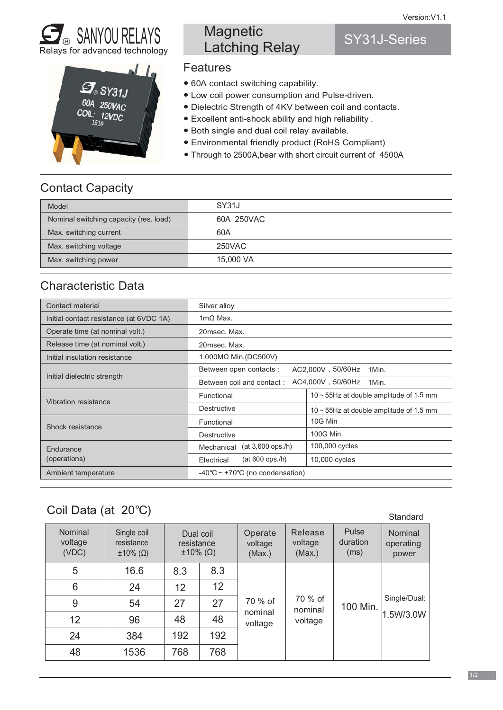SY31J-Series





# **Magnetic** Latching Relay

#### Features

- $\bullet$  60A contact switching capability.
- Low coil power consumption and Pulse-driven.
- Dielectric Strength of 4KV between coil and contacts.
- Excellent anti-shock ability and high reliability.
- Both single and dual coil relay available.
- Environmental friendly product (RoHS Compliant)
- Through to 2500A, bear with short circuit current of 4500A

### Contact Capacity

| Model                                  | SY31J      |
|----------------------------------------|------------|
| Nominal switching capacity (res. load) | 60A 250VAC |
| Max. switching current                 | 60A        |
| Max. switching voltage                 | 250VAC     |
| Max. switching power                   | 15,000 VA  |

#### Characteristic Data

| Contact material                        | Silver alloy                                            |                                               |  |  |  |  |
|-----------------------------------------|---------------------------------------------------------|-----------------------------------------------|--|--|--|--|
| Initial contact resistance (at 6VDC 1A) | $1m\Omega$ Max.                                         |                                               |  |  |  |  |
| Operate time (at nominal volt.)         | 20msec. Max.                                            |                                               |  |  |  |  |
| Release time (at nominal volt.)         | 20msec. Max.                                            |                                               |  |  |  |  |
| Initial insulation resistance           | 1,000MΩ Min. (DC500V)                                   |                                               |  |  |  |  |
| Initial dielectric strength             | Between open contacts:<br>AC2,000V, 50/60Hz<br>1Min.    |                                               |  |  |  |  |
|                                         | AC4,000V, 50/60Hz<br>Between coil and contact:<br>1Min. |                                               |  |  |  |  |
| Vibration resistance                    | Functional                                              | $10 \sim 55$ Hz at double amplitude of 1.5 mm |  |  |  |  |
|                                         | Destructive                                             | 10 $\sim$ 55Hz at double amplitude of 1.5 mm  |  |  |  |  |
| Shock resistance                        | Functional                                              | 10G Min                                       |  |  |  |  |
|                                         | Destructive                                             | 100G Min.                                     |  |  |  |  |
| Endurance<br>(operations)               | $(at 3,600$ ops./h)<br>Mechanical                       | 100,000 cycles                                |  |  |  |  |
|                                         | $(at 600$ ops./h)<br>Electrical                         | 10,000 cycles                                 |  |  |  |  |
| Ambient temperature                     | -40 $\degree$ C ~ +70 $\degree$ C (no condensation)     |                                               |  |  |  |  |

# Coil Data (at 20°C)

|                                    |                                                      |                                                    |                 |                              |                              |                           | Sianuaru                      |
|------------------------------------|------------------------------------------------------|----------------------------------------------------|-----------------|------------------------------|------------------------------|---------------------------|-------------------------------|
| <b>Nominal</b><br>voltage<br>(VDC) | Single coil<br>resistance<br>$\pm 10\%$ ( $\Omega$ ) | Dual coil<br>resistance<br>$\pm 10\%$ ( $\Omega$ ) |                 | Operate<br>voltage<br>(Max.) | Release<br>voltage<br>(Max.) | Pulse<br>duration<br>(ms) | Nominal<br>operating<br>power |
| 5                                  | 16.6                                                 | 8.3                                                | 8.3             |                              |                              | 70 % of<br>100 Min.       |                               |
| 6                                  | 24                                                   | 12                                                 | 12 <sup>2</sup> |                              |                              |                           |                               |
| 9                                  | 54                                                   | 27                                                 | 27              | 70 % of                      | nominal<br>voltage           |                           | Single/Dual:                  |
| 12                                 | 96                                                   | 48                                                 | 48              | nominal<br>voltage           |                              | 1.5W/3.0W                 |                               |
| 24                                 | 384                                                  | 192                                                | 192             |                              |                              |                           |                               |
| 48                                 | 1536                                                 | 768                                                | 768             |                              |                              |                           |                               |

Standard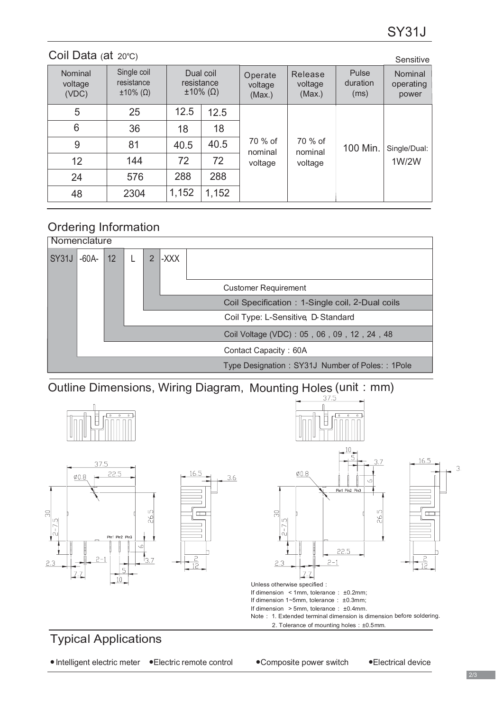| Coil Data $(at 20^{\circ}C)$<br>Sensitive |                                                      |                                                    |       |                               |                               |                           |                               |  |
|-------------------------------------------|------------------------------------------------------|----------------------------------------------------|-------|-------------------------------|-------------------------------|---------------------------|-------------------------------|--|
| Nominal<br>voltage<br>(VDC)               | Single coil<br>resistance<br>$\pm 10\%$ ( $\Omega$ ) | Dual coil<br>resistance<br>$\pm 10\%$ ( $\Omega$ ) |       | Operate<br>voltage<br>(Max.)  | Release<br>voltage<br>(Max.)  | Pulse<br>duration<br>(ms) | Nominal<br>operating<br>power |  |
| 5                                         | 25                                                   | 12.5                                               | 12.5  | 70 % of<br>nominal<br>voltage | 70 % of<br>nominal<br>voltage | 100 Min.                  | Single/Dual:<br>1W/2W         |  |
| 6                                         | 36                                                   | 18                                                 | 18    |                               |                               |                           |                               |  |
| 9                                         | 81                                                   | 40.5                                               | 40.5  |                               |                               |                           |                               |  |
| 12                                        | 144                                                  | 72                                                 | 72    |                               |                               |                           |                               |  |
| 24                                        | 576                                                  | 288                                                | 288   |                               |                               |                           |                               |  |
| 48                                        | 2304                                                 | 1,152                                              | 1,152 |                               |                               |                           |                               |  |

# Ordering Information



Outline Dimensions, Wiring Diagram, Mounting Holes (unit: mm)



●Intelligent electric meter ●Electric remote control ● Composite power switch ●Electrical device